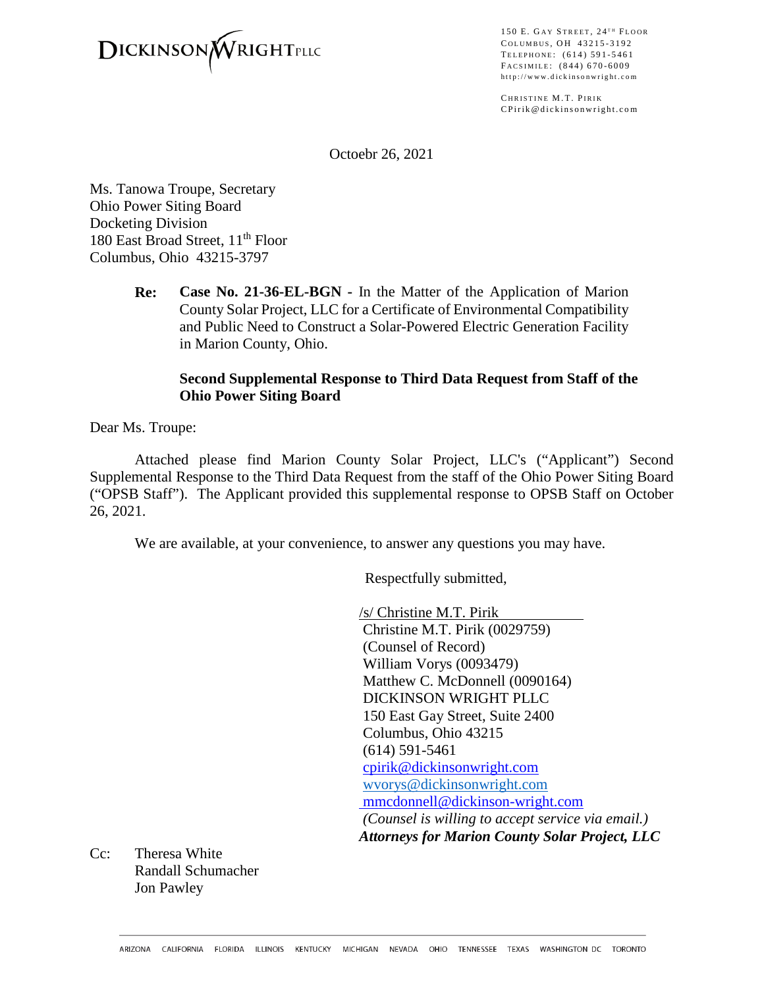

150 E. GAY STREET,  $24$ <sup>TH</sup> FLOOR COLUMBUS, OH 43215-3192 TELEPHONE: (614) 591-5461 FACSIMILE: (844) 670-6009 http://www.dickinsonwright.com

CHRISTINE M.T. PIRIK CPirik@dickinsonwright.com

Octoebr 26, 2021

Ms. Tanowa Troupe, Secretary Ohio Power Siting Board Docketing Division 180 East Broad Street, 11<sup>th</sup> Floor Columbus, Ohio 43215-3797

> **Re: Case No. 21-36-EL-BGN -** In the Matter of the Application of Marion County Solar Project, LLC for a Certificate of Environmental Compatibility and Public Need to Construct a Solar-Powered Electric Generation Facility in Marion County, Ohio.

### **Second Supplemental Response to Third Data Request from Staff of the Ohio Power Siting Board**

Dear Ms. Troupe:

Attached please find Marion County Solar Project, LLC's ("Applicant") Second Supplemental Response to the Third Data Request from the staff of the Ohio Power Siting Board ("OPSB Staff"). The Applicant provided this supplemental response to OPSB Staff on October 26, 2021.

We are available, at your convenience, to answer any questions you may have.

Respectfully submitted,

/s/ Christine M.T. Pirik Christine M.T. Pirik (0029759) (Counsel of Record) William Vorys (0093479) Matthew C. McDonnell (0090164) DICKINSON WRIGHT PLLC 150 East Gay Street, Suite 2400 Columbus, Ohio 43215 (614) 591-5461 [cpirik@dickinsonwright.com](mailto:cpirik@dickinsonwright.com) [wvorys@dickinsonwright.com](mailto:wvorys@dickinsonwright.com) mmcdonnell@dickinson-wright.com *(Counsel is willing to accept service via email.) Attorneys for Marion County Solar Project, LLC*

Cc: Theresa White Randall Schumacher Jon Pawley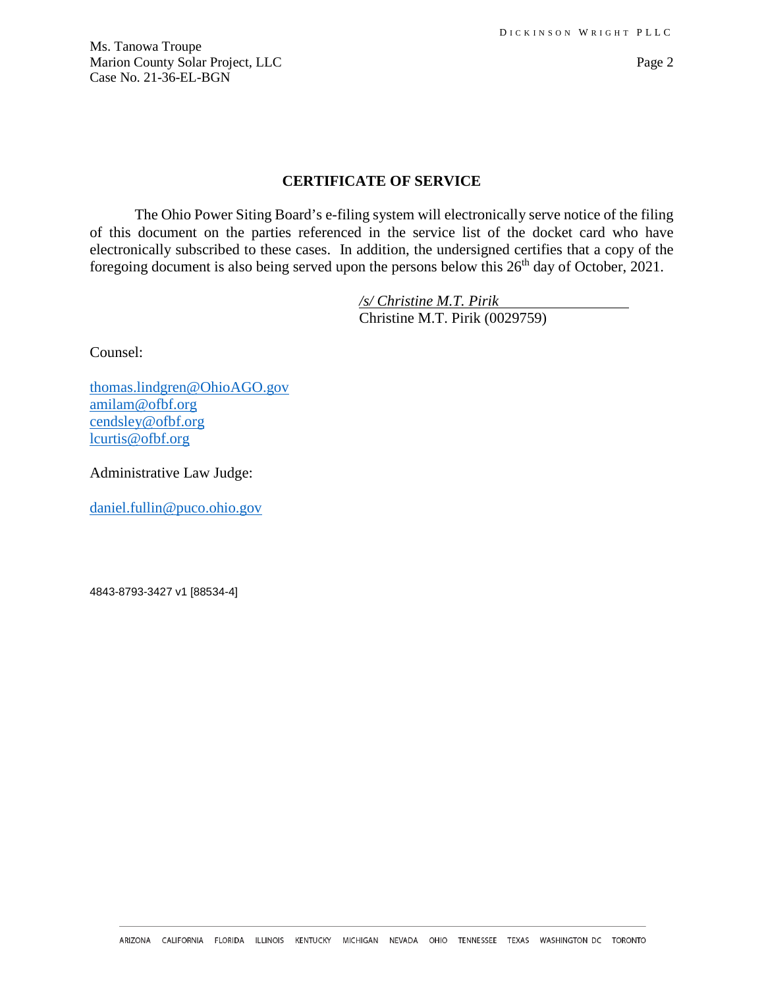Ms. Tanowa Troupe Marion County Solar Project, LLC Page 2 Case No. 21-36-EL-BGN

### **CERTIFICATE OF SERVICE**

The Ohio Power Siting Board's e-filing system will electronically serve notice of the filing of this document on the parties referenced in the service list of the docket card who have electronically subscribed to these cases. In addition, the undersigned certifies that a copy of the foregoing document is also being served upon the persons below this  $26<sup>th</sup>$  day of October, 2021.

> */s/ Christine M.T. Pirik* Christine M.T. Pirik (0029759)

Counsel:

[thomas.lindgren@OhioAGO.gov](mailto:thomas.lindgren@OhioAGO.gov) [amilam@ofbf.org](mailto:amilam@ofbf.org) [cendsley@ofbf.org](mailto:cendsley@ofbf.org) [lcurtis@ofbf.org](mailto:lcurtis@ofbf.org)

Administrative Law Judge:

[daniel.fullin@puco.ohio.gov](mailto:daniel.fullin@puco.ohio.gov)

4843-8793-3427 v1 [88534-4]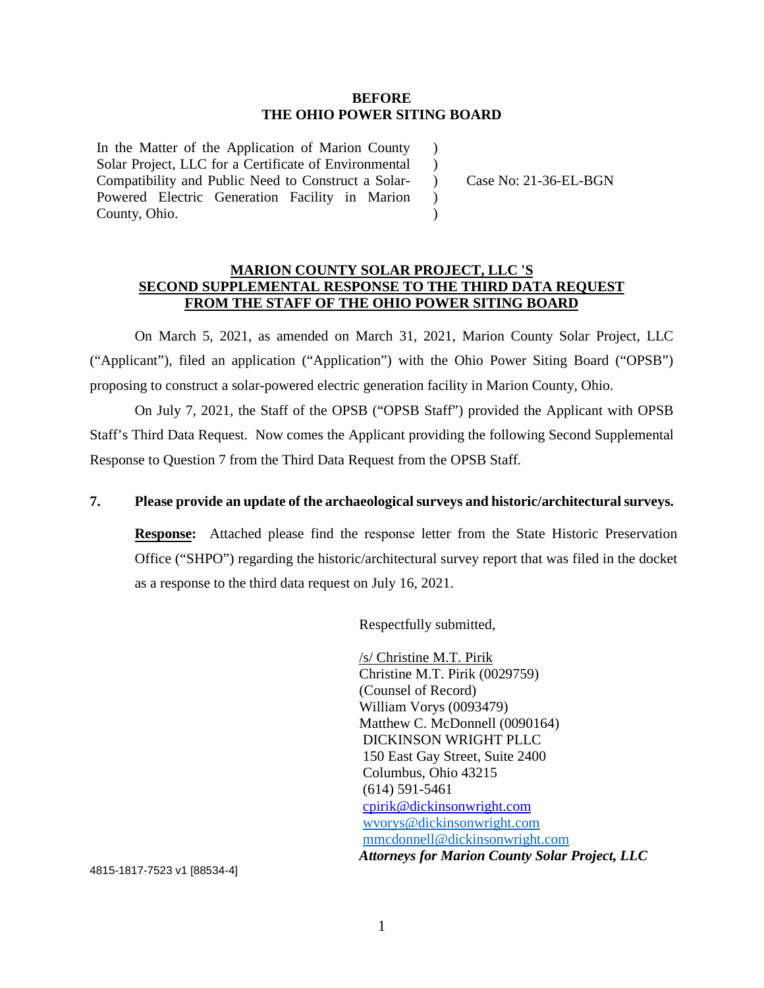#### **BEFORE THE OHIO POWER SITING BOARD**

 $\lambda$  $\lambda$ 

 $\mathcal{L}$  $\lambda$ 

In the Matter of the Application of Marion County Solar Project, LLC for a Certificate of Environmental Compatibility and Public Need to Construct a Solar-Powered Electric Generation Facility in Marion County, Ohio.

) Case No: 21-36-EL-BGN

### **MARION COUNTY SOLAR PROJECT, LLC 'S SECOND SUPPLEMENTAL RESPONSE TO THE THIRD DATA REQUEST FROM THE STAFF OF THE OHIO POWER SITING BOARD**

On March 5, 2021, as amended on March 31, 2021, Marion County Solar Project, LLC ("Applicant"), filed an application ("Application") with the Ohio Power Siting Board ("OPSB") proposing to construct a solar-powered electric generation facility in Marion County, Ohio.

On July 7, 2021, the Staff of the OPSB ("OPSB Staff") provided the Applicant with OPSB Staff's Third Data Request. Now comes the Applicant providing the following Second Supplemental Response to Question 7 from the Third Data Request from the OPSB Staff.

## **7. Please provide an update of the archaeological surveys and historic/architectural surveys.**

**Response:** Attached please find the response letter from the State Historic Preservation Office ("SHPO") regarding the historic/architectural survey report that was filed in the docket as a response to the third data request on July 16, 2021.

Respectfully submitted,

/s/ Christine M.T. Pirik Christine M.T. Pirik (0029759) (Counsel of Record) William Vorys (0093479) Matthew C. McDonnell (0090164) DICKINSON WRIGHT PLLC 150 East Gay Street, Suite 2400 Columbus, Ohio 43215 (614) 591-5461 [cpirik@dickinsonwright.com](mailto:cpirik@dickinsonwright.com) [wvorys@dickinsonwright.com](mailto:wvorys@dickinsonwright.com) [mmcdonnell@dickinsonwright.com](mailto:mmcdonnell@dickinsonwright.com) *Attorneys for Marion County Solar Project, LLC*

4815-1817-7523 v1 [88534-4]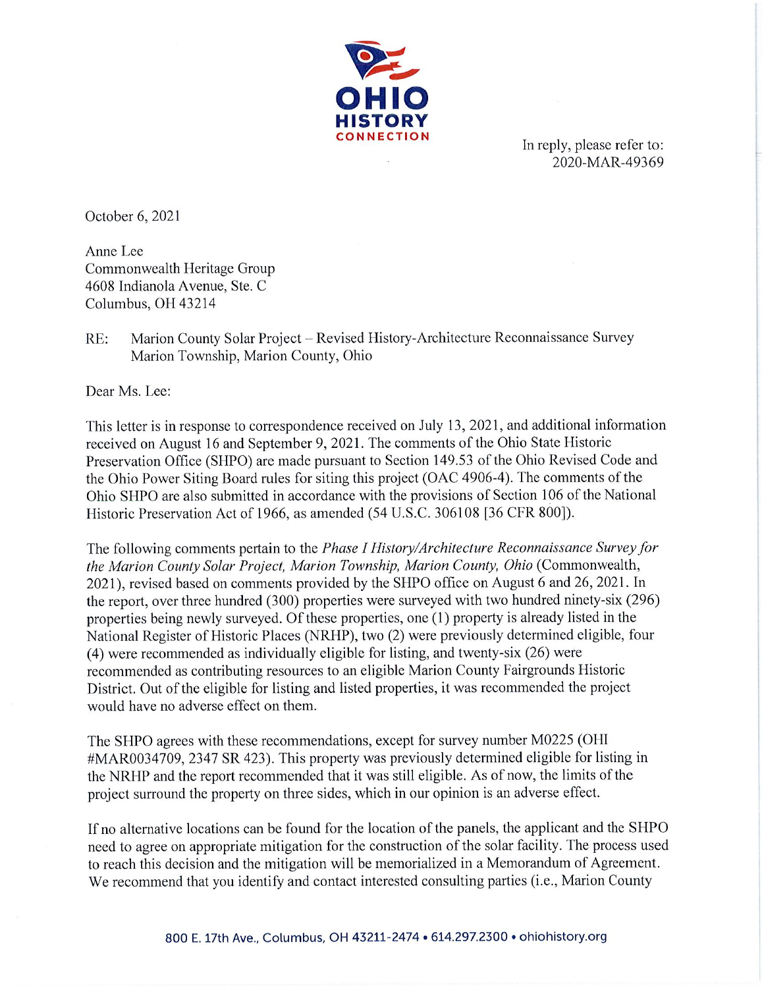

In reply, please refer to: 2020-MAR-49369

October 6, 2021

Anne Lee Commonwealth Heritage Group 4608 Indianola Avenue, Ste. C Columbus, OH 43214

 $RE:$ Marion County Solar Project – Revised History-Architecture Reconnaissance Survey Marion Township, Marion County, Ohio

Dear Ms. Lee:

This letter is in response to correspondence received on July 13, 2021, and additional information received on August 16 and September 9, 2021. The comments of the Ohio State Historic Preservation Office (SHPO) are made pursuant to Section 149.53 of the Ohio Revised Code and the Ohio Power Siting Board rules for siting this project (OAC 4906-4). The comments of the Ohio SHPO are also submitted in accordance with the provisions of Section 106 of the National Historic Preservation Act of 1966, as amended (54 U.S.C. 306108 [36 CFR 800]).

The following comments pertain to the *Phase I History/Architecture Reconnaissance Survey for* the Marion County Solar Project, Marion Township, Marion County, Ohio (Commonwealth, 2021), revised based on comments provided by the SHPO office on August 6 and 26, 2021. In the report, over three hundred (300) properties were surveyed with two hundred ninety-six (296) properties being newly surveyed. Of these properties, one (1) property is already listed in the National Register of Historic Places (NRHP), two (2) were previously determined eligible, four (4) were recommended as individually eligible for listing, and twenty-six (26) were recommended as contributing resources to an eligible Marion County Fairgrounds Historic District. Out of the eligible for listing and listed properties, it was recommended the project would have no adverse effect on them.

The SHPO agrees with these recommendations, except for survey number M0225 (OHI) #MAR0034709, 2347 SR 423). This property was previously determined eligible for listing in the NRHP and the report recommended that it was still eligible. As of now, the limits of the project surround the property on three sides, which in our opinion is an adverse effect.

If no alternative locations can be found for the location of the panels, the applicant and the SHPO need to agree on appropriate mitigation for the construction of the solar facility. The process used to reach this decision and the mitigation will be memorialized in a Memorandum of Agreement. We recommend that you identify and contact interested consulting parties (i.e., Marion County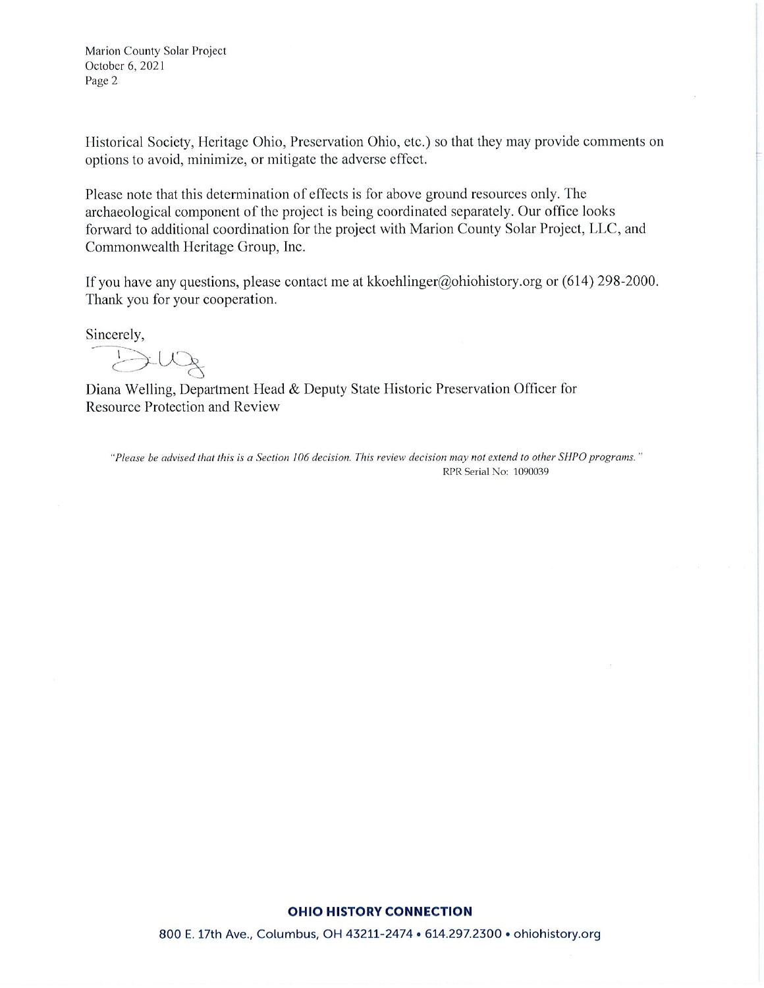Marion County Solar Project October 6, 2021 Page 2

Historical Society, Heritage Ohio, Preservation Ohio, etc.) so that they may provide comments on options to avoid, minimize, or mitigate the adverse effect.

Please note that this determination of effects is for above ground resources only. The archaeological component of the project is being coordinated separately. Our office looks forward to additional coordination for the project with Marion County Solar Project, LLC, and Commonwealth Heritage Group, Inc.

If you have any questions, please contact me at kkoehlinger@ohiohistory.org or  $(614)$  298-2000. Thank you for your cooperation.

Sincerely,

Diana Welling, Department Head & Deputy State Historic Preservation Officer for Resource Protection and Review

"Please be advised that this is a Section 106 decision. This review decision may not extend to other SHPO programs." RPR Serial No: 1090039

#### **OHIO HISTORY CONNECTION**

800 E. 17th Ave., Columbus, OH 43211-2474 . 614.297.2300 . ohiohistory.org